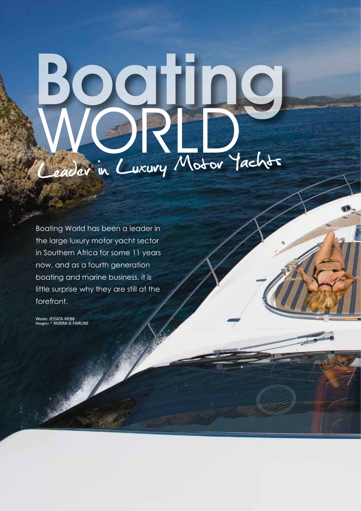## Leader in Luxury Motor Yachts Boating WORD,

Boating World has been a leader in the large luxury motor yacht sector in Southern Africa for some 11 years now, and as a fourth generation boating and marine business, it is little surprise why they are still at the forefront.

**Words: JESSICA WEBB Images: © RIVIERA & FAIRLINE**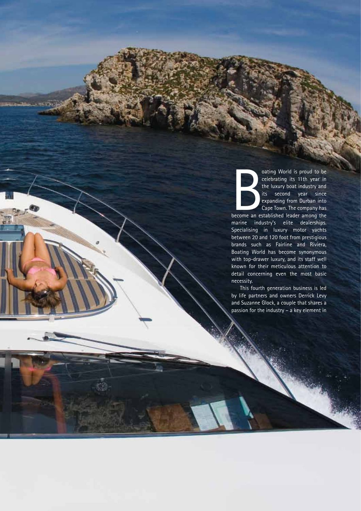oating World is proud to be<br>
celebrating its 11th year in<br>
the luxury boat industry and<br>
its second year since<br>
expanding from Durban into<br>
Cape Town. The company has<br>
become an established leader among the oating World is proud to be celebrating its 11th year in the luxury boat industry and its second year since expanding from Durban into Cape Town. The company has

marine industry's elite dealerships. Specialising in luxury motor yachts between 20 and 120 foot from prestigious brands such as Fairline and Riviera, Boating World has become synonymous with top-drawer luxury, and its staff well known for their meticulous attention to detail concerning even the most basic necessity.

This fourth generation business is led by life partners and owners Derrick Levy and Suzanne Glock, a couple that shares a passion for the industry – a key element in